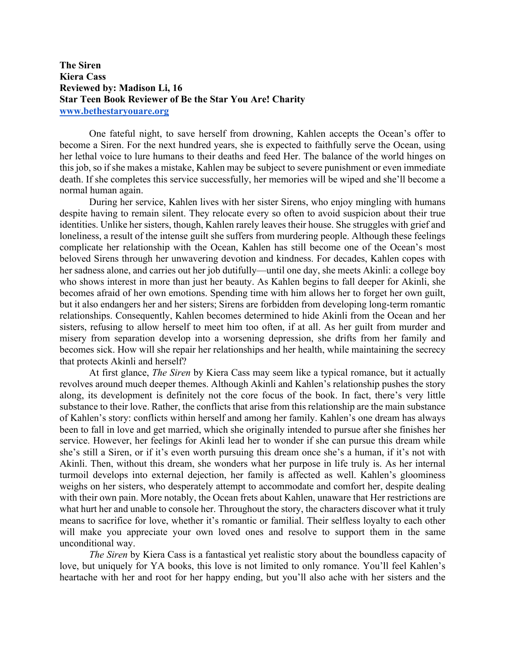## **The Siren Kiera Cass Reviewed by: Madison Li, 16 Star Teen Book Reviewer of Be the Star You Are! Charity www.bethestaryouare.org**

One fateful night, to save herself from drowning, Kahlen accepts the Ocean's offer to become a Siren. For the next hundred years, she is expected to faithfully serve the Ocean, using her lethal voice to lure humans to their deaths and feed Her. The balance of the world hinges on this job, so if she makes a mistake, Kahlen may be subject to severe punishment or even immediate death. If she completes this service successfully, her memories will be wiped and she'll become a normal human again.

During her service, Kahlen lives with her sister Sirens, who enjoy mingling with humans despite having to remain silent. They relocate every so often to avoid suspicion about their true identities. Unlike her sisters, though, Kahlen rarely leaves their house. She struggles with grief and loneliness, a result of the intense guilt she suffers from murdering people. Although these feelings complicate her relationship with the Ocean, Kahlen has still become one of the Ocean's most beloved Sirens through her unwavering devotion and kindness. For decades, Kahlen copes with her sadness alone, and carries out her job dutifully—until one day, she meets Akinli: a college boy who shows interest in more than just her beauty. As Kahlen begins to fall deeper for Akinli, she becomes afraid of her own emotions. Spending time with him allows her to forget her own guilt, but it also endangers her and her sisters; Sirens are forbidden from developing long-term romantic relationships. Consequently, Kahlen becomes determined to hide Akinli from the Ocean and her sisters, refusing to allow herself to meet him too often, if at all. As her guilt from murder and misery from separation develop into a worsening depression, she drifts from her family and becomes sick. How will she repair her relationships and her health, while maintaining the secrecy that protects Akinli and herself?

At first glance, *The Siren* by Kiera Cass may seem like a typical romance, but it actually revolves around much deeper themes. Although Akinli and Kahlen's relationship pushes the story along, its development is definitely not the core focus of the book. In fact, there's very little substance to their love. Rather, the conflicts that arise from this relationship are the main substance of Kahlen's story: conflicts within herself and among her family. Kahlen's one dream has always been to fall in love and get married, which she originally intended to pursue after she finishes her service. However, her feelings for Akinli lead her to wonder if she can pursue this dream while she's still a Siren, or if it's even worth pursuing this dream once she's a human, if it's not with Akinli. Then, without this dream, she wonders what her purpose in life truly is. As her internal turmoil develops into external dejection, her family is affected as well. Kahlen's gloominess weighs on her sisters, who desperately attempt to accommodate and comfort her, despite dealing with their own pain. More notably, the Ocean frets about Kahlen, unaware that Her restrictions are what hurt her and unable to console her. Throughout the story, the characters discover what it truly means to sacrifice for love, whether it's romantic or familial. Their selfless loyalty to each other will make you appreciate your own loved ones and resolve to support them in the same unconditional way.

*The Siren* by Kiera Cass is a fantastical yet realistic story about the boundless capacity of love, but uniquely for YA books, this love is not limited to only romance. You'll feel Kahlen's heartache with her and root for her happy ending, but you'll also ache with her sisters and the